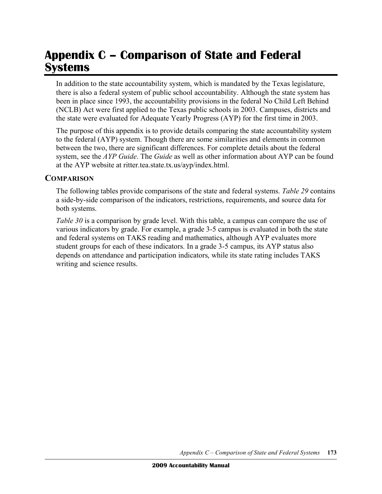# **Appendix C – Comparison of State and Federal Systems**

In addition to the state accountability system, which is mandated by the Texas legislature, there is also a federal system of public school accountability. Although the state system has been in place since 1993, the accountability provisions in the federal No Child Left Behind (NCLB) Act were first applied to the Texas public schools in 2003. Campuses, districts and the state were evaluated for Adequate Yearly Progress (AYP) for the first time in 2003.

The purpose of this appendix is to provide details comparing the state accountability system to the federal (AYP) system. Though there are some similarities and elements in common between the two, there are significant differences. For complete details about the federal system, see the *AYP Guide*. The *Guide* as well as other information about AYP can be found at the AYP website at ritter.tea.state.tx.us/ayp/index.html.

#### **COMPARISON**

The following tables provide comparisons of the state and federal systems. *Table 29* contains a side-by-side comparison of the indicators, restrictions, requirements, and source data for both systems.

*Table* 30 is a comparison by grade level. With this table, a campus can compare the use of various indicators by grade. For example, a grade 3-5 campus is evaluated in both the state and federal systems on TAKS reading and mathematics, although AYP evaluates more student groups for each of these indicators. In a grade 3-5 campus, its AYP status also depends on attendance and participation indicators, while its state rating includes TAKS writing and science results.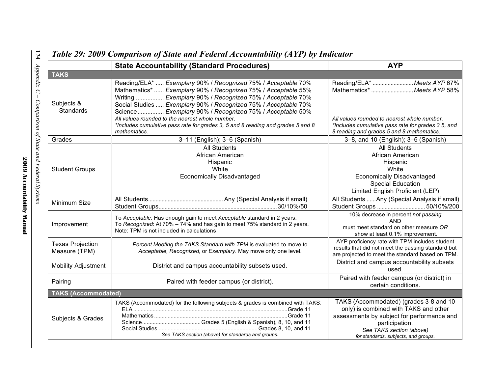|                                          | <b>State Accountability (Standard Procedures)</b>                                                                                                                                                                                                                                                                                                                                                                                                                              | <b>AYP</b>                                                                                                                                                                                                          |  |  |  |  |
|------------------------------------------|--------------------------------------------------------------------------------------------------------------------------------------------------------------------------------------------------------------------------------------------------------------------------------------------------------------------------------------------------------------------------------------------------------------------------------------------------------------------------------|---------------------------------------------------------------------------------------------------------------------------------------------------------------------------------------------------------------------|--|--|--|--|
| <b>TAKS</b>                              |                                                                                                                                                                                                                                                                                                                                                                                                                                                                                |                                                                                                                                                                                                                     |  |  |  |  |
| Subjects &<br>Standards                  | Reading/ELA*  Exemplary 90% / Recognized 75% / Acceptable 70%<br>Mathematics*  Exemplary 90% / Recognized 75% / Acceptable 55%<br>Writing  Exemplary 90% / Recognized 75% / Acceptable 70%<br>Social Studies  Exemplary 90% / Recognized 75% / Acceptable 70%<br>Science Exemplary 90% / Recognized 75% / Acceptable 50%<br>All values rounded to the nearest whole number.<br>*Includes cumulative pass rate for grades 3, 5 and 8 reading and grades 5 and 8<br>mathematics. | Reading/ELA*  Meets AYP 67%<br>Mathematics*  Meets AYP 58%<br>All values rounded to nearest whole number.<br>*Includes cumulative pass rate for grades 3 5, and<br>8 reading and grades 5 and 8 mathematics.        |  |  |  |  |
| Grades                                   | 3-11 (English); 3-6 (Spanish)                                                                                                                                                                                                                                                                                                                                                                                                                                                  | 3-8, and 10 (English); 3-6 (Spanish)                                                                                                                                                                                |  |  |  |  |
| <b>Student Groups</b>                    | <b>All Students</b><br>African American<br>Hispanic<br>White<br><b>Economically Disadvantaged</b>                                                                                                                                                                                                                                                                                                                                                                              | <b>All Students</b><br>African American<br>Hispanic<br>White<br><b>Economically Disadvantaged</b><br><b>Special Education</b><br>Limited English Proficient (LEP)                                                   |  |  |  |  |
| Minimum Size                             |                                                                                                                                                                                                                                                                                                                                                                                                                                                                                | All Students  Any (Special Analysis if small)<br>Student Groups  50/10%/200                                                                                                                                         |  |  |  |  |
| Improvement                              | To Acceptable: Has enough gain to meet Acceptable standard in 2 years.<br>To Recognized: At 70% - 74% and has gain to meet 75% standard in 2 years.<br>Note: TPM is not included in calculations                                                                                                                                                                                                                                                                               | 10% decrease in percent not passing<br><b>AND</b><br>must meet standard on other measure OR<br>show at least 0.1% improvement.                                                                                      |  |  |  |  |
| <b>Texas Projection</b><br>Measure (TPM) | Percent Meeting the TAKS Standard with TPM is evaluated to move to<br>Acceptable, Recognized, or Exemplary. May move only one level.                                                                                                                                                                                                                                                                                                                                           | AYP proficiency rate with TPM includes student<br>results that did not meet the passing standard but<br>are projected to meet the standard based on TPM.                                                            |  |  |  |  |
| <b>Mobility Adjustment</b>               | District and campus accountability subsets used.                                                                                                                                                                                                                                                                                                                                                                                                                               | District and campus accountability subsets<br>used.                                                                                                                                                                 |  |  |  |  |
| Pairing                                  | Paired with feeder campus (or district).                                                                                                                                                                                                                                                                                                                                                                                                                                       | Paired with feeder campus (or district) in<br>certain conditions.                                                                                                                                                   |  |  |  |  |
| <b>TAKS (Accommodated)</b>               |                                                                                                                                                                                                                                                                                                                                                                                                                                                                                |                                                                                                                                                                                                                     |  |  |  |  |
| Subjects & Grades                        | TAKS (Accommodated) for the following subjects & grades is combined with TAKS:<br>See TAKS section (above) for standards and groups.                                                                                                                                                                                                                                                                                                                                           | TAKS (Accommodated) (grades 3-8 and 10<br>only) is combined with TAKS and other<br>assessments by subject for performance and<br>participation.<br>See TAKS section (above)<br>for standards, subjects, and groups. |  |  |  |  |

## *Table 29: 2009 Comparison of State and Federal Accountability (AYP) by Indicator*

**174**

*Appendix*

*C –*

*Comparison*

*of State*

*and*

*Federal*

*Systems*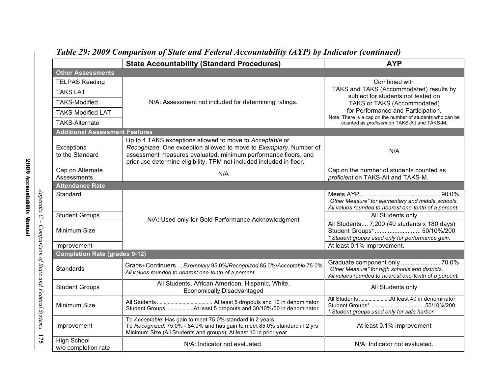|                                                                                                                       | <b>State Accountability (Standard Procedures)</b>                                                                                                                                                                                                                       | <b>AYP</b>                                                                                                                                                                                                                                                                               |  |  |  |  |  |  |
|-----------------------------------------------------------------------------------------------------------------------|-------------------------------------------------------------------------------------------------------------------------------------------------------------------------------------------------------------------------------------------------------------------------|------------------------------------------------------------------------------------------------------------------------------------------------------------------------------------------------------------------------------------------------------------------------------------------|--|--|--|--|--|--|
| <b>Other Assessments</b>                                                                                              |                                                                                                                                                                                                                                                                         |                                                                                                                                                                                                                                                                                          |  |  |  |  |  |  |
| <b>TELPAS Reading</b><br><b>TAKS LAT</b><br><b>TAKS-Modified</b><br><b>TAKS-Modified LAT</b><br><b>TAKS-Alternate</b> | N/A: Assessment not included for determining ratings.                                                                                                                                                                                                                   | Combined with<br>TAKS and TAKS (Accommodated) results by<br>subject for students not tested on<br>TAKS or TAKS (Accommodated)<br>for Performance and Participation.<br>Note: There is a cap on the number of students who can be<br>counted as <i>proficient</i> on TAKS-Alt and TAKS-M. |  |  |  |  |  |  |
| <b>Additional Assessment Features</b>                                                                                 |                                                                                                                                                                                                                                                                         |                                                                                                                                                                                                                                                                                          |  |  |  |  |  |  |
| Exceptions<br>to the Standard                                                                                         | Up to 4 TAKS exceptions allowed to move to Acceptable or<br>Recognized. One exception allowed to move to Exemplary. Number of<br>assessment measures evaluated, minimum performance floors, and<br>prior use determine eligibility. TPM not included included in floor. | N/A                                                                                                                                                                                                                                                                                      |  |  |  |  |  |  |
| Cap on Alternate<br>Assessments                                                                                       | N/A                                                                                                                                                                                                                                                                     | Cap on the number of students counted as<br>proficient on TAKS-Alt and TAKS-M.                                                                                                                                                                                                           |  |  |  |  |  |  |
| <b>Attendance Rate</b>                                                                                                |                                                                                                                                                                                                                                                                         |                                                                                                                                                                                                                                                                                          |  |  |  |  |  |  |
| Standard                                                                                                              |                                                                                                                                                                                                                                                                         | "Other Measure" for elementary and middle schools.<br>All values rounded to nearest one-tenth of a percent.                                                                                                                                                                              |  |  |  |  |  |  |
| <b>Student Groups</b>                                                                                                 |                                                                                                                                                                                                                                                                         | All Students only                                                                                                                                                                                                                                                                        |  |  |  |  |  |  |
| Minimum Size                                                                                                          | N/A: Used only for Gold Performance Acknowledgment                                                                                                                                                                                                                      | All Students 7,200 (40 students x 180 days)<br>Student Groups* 50/10%/200<br>* Student groups used only for performance gain.                                                                                                                                                            |  |  |  |  |  |  |
| Improvement                                                                                                           |                                                                                                                                                                                                                                                                         | At least 0.1% improvement.                                                                                                                                                                                                                                                               |  |  |  |  |  |  |
| <b>Completion Rate (grades 9-12)</b>                                                                                  |                                                                                                                                                                                                                                                                         |                                                                                                                                                                                                                                                                                          |  |  |  |  |  |  |
| <b>Standards</b>                                                                                                      | Grads+Continuers  Exemplary 95.0%/Recognized 85.0%/Acceptable 75.0%<br>All values rounded to nearest one-tenth of a percent.                                                                                                                                            | Graduate component only  70.0%<br>"Other Measure" for high schools and districts.<br>All values rounded to nearest one-tenth of a percent.                                                                                                                                               |  |  |  |  |  |  |
| <b>Student Groups</b>                                                                                                 | All Students, African American, Hispanic, White,<br><b>Economically Disadvantaged</b>                                                                                                                                                                                   | All Students only                                                                                                                                                                                                                                                                        |  |  |  |  |  |  |
| Minimum Size                                                                                                          | Student Groups At least 5 dropouts and 30/10%/50 in denominator                                                                                                                                                                                                         | * Student groups used only for safe harbor.                                                                                                                                                                                                                                              |  |  |  |  |  |  |
| Improvement                                                                                                           | To Acceptable: Has gain to meet 75.0% standard in 2 years<br>To Recognized: 75.0% - 84.9% and has gain to meet 85.0% standard in 2 yrs<br>Minimum Size (All Students and groups): At least 10 in prior year                                                             | At least 0.1% improvement                                                                                                                                                                                                                                                                |  |  |  |  |  |  |
| <b>High School</b><br>w/o completion rate                                                                             | N/A: Indicator not evaluated.                                                                                                                                                                                                                                           | N/A: Indicator not evaluated.                                                                                                                                                                                                                                                            |  |  |  |  |  |  |

## *Table 29: 2009 Comparison of State and Federal Accountability (AYP) by Indicator (continued)*

*Appendix C – Comparison of State and Federal Systems* **175**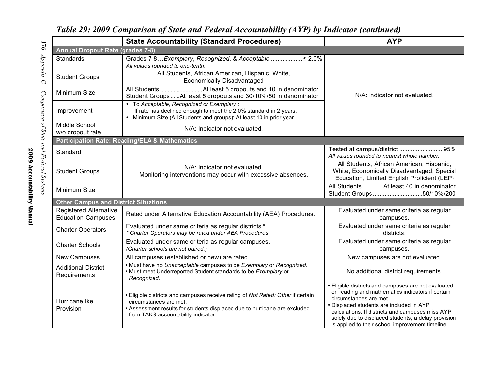|                                                            | <b>State Accountability (Standard Procedures)</b>                                                                                                                                                                             | <b>AYP</b>                                                                                                                                                                                                                                                                                                                                   |  |  |  |  |  |
|------------------------------------------------------------|-------------------------------------------------------------------------------------------------------------------------------------------------------------------------------------------------------------------------------|----------------------------------------------------------------------------------------------------------------------------------------------------------------------------------------------------------------------------------------------------------------------------------------------------------------------------------------------|--|--|--|--|--|
| <b>Annual Dropout Rate (grades 7-8)</b>                    |                                                                                                                                                                                                                               |                                                                                                                                                                                                                                                                                                                                              |  |  |  |  |  |
| <b>Standards</b>                                           | Grades 7-8Exemplary, Recognized, & Acceptable  ≤ 2.0%<br>All values rounded to one-tenth.                                                                                                                                     | N/A: Indicator not evaluated.                                                                                                                                                                                                                                                                                                                |  |  |  |  |  |
| <b>Student Groups</b>                                      | All Students, African American, Hispanic, White,<br><b>Economically Disadvantaged</b>                                                                                                                                         |                                                                                                                                                                                                                                                                                                                                              |  |  |  |  |  |
| Minimum Size                                               | Student Groups  At least 5 dropouts and 30/10%/50 in denominator                                                                                                                                                              |                                                                                                                                                                                                                                                                                                                                              |  |  |  |  |  |
| Improvement                                                | To Acceptable, Recognized or Exemplary:<br>If rate has declined enough to meet the 2.0% standard in 2 years.<br>Minimum Size (All Students and groups): At least 10 in prior year.                                            |                                                                                                                                                                                                                                                                                                                                              |  |  |  |  |  |
| Middle School<br>w/o dropout rate                          | N/A: Indicator not evaluated.                                                                                                                                                                                                 |                                                                                                                                                                                                                                                                                                                                              |  |  |  |  |  |
|                                                            | <b>Participation Rate: Reading/ELA &amp; Mathematics</b>                                                                                                                                                                      |                                                                                                                                                                                                                                                                                                                                              |  |  |  |  |  |
| Standard                                                   |                                                                                                                                                                                                                               | Tested at campus/district  95%<br>All values rounded to nearest whole number.                                                                                                                                                                                                                                                                |  |  |  |  |  |
| <b>Student Groups</b>                                      | N/A: Indicator not evaluated.<br>Monitoring interventions may occur with excessive absences.                                                                                                                                  | All Students, African American, Hispanic,<br>White, Economically Disadvantaged, Special<br>Education, Limited English Proficient (LEP)                                                                                                                                                                                                       |  |  |  |  |  |
| Minimum Size                                               |                                                                                                                                                                                                                               | All Students  At least 40 in denominator<br>Student Groups 50/10%/200                                                                                                                                                                                                                                                                        |  |  |  |  |  |
| <b>Other Campus and District Situations</b>                |                                                                                                                                                                                                                               |                                                                                                                                                                                                                                                                                                                                              |  |  |  |  |  |
| <b>Registered Alternative</b><br><b>Education Campuses</b> | Rated under Alternative Education Accountability (AEA) Procedures.                                                                                                                                                            | Evaluated under same criteria as regular<br>campuses.                                                                                                                                                                                                                                                                                        |  |  |  |  |  |
| <b>Charter Operators</b>                                   | Evaluated under same criteria as regular districts.*<br>* Charter Operators may be rated under AEA Procedures.                                                                                                                | Evaluated under same criteria as regular<br>districts.                                                                                                                                                                                                                                                                                       |  |  |  |  |  |
| <b>Charter Schools</b>                                     | Evaluated under same criteria as regular campuses.<br>(Charter schools are not paired.)                                                                                                                                       | Evaluated under same criteria as regular<br>campuses.                                                                                                                                                                                                                                                                                        |  |  |  |  |  |
| <b>New Campuses</b>                                        | All campuses (established or new) are rated.                                                                                                                                                                                  | New campuses are not evaluated.                                                                                                                                                                                                                                                                                                              |  |  |  |  |  |
| <b>Additional District</b><br>Requirements                 | . Must have no Unacceptable campuses to be Exemplary or Recognized.<br>• Must meet Underreported Student standards to be Exemplary or<br>Recognized.                                                                          | No additional district requirements.                                                                                                                                                                                                                                                                                                         |  |  |  |  |  |
| Hurricane Ike<br>Provision                                 | . Eligible districts and campuses receive rating of Not Rated: Other if certain<br>circumstances are met.<br>• Assessment results for students displaced due to hurricane are excluded<br>from TAKS accountability indicator. | · Eligible districts and campuses are not evaluated<br>on reading and mathematics indicators if certain<br>circumstances are met.<br>• Displaced students are included in AYP<br>calculations. If districts and campuses miss AYP<br>solely due to displaced students, a delay provision<br>is applied to their school improvement timeline. |  |  |  |  |  |

*Table 29: 2009 Comparison of State and Federal Accountability (AYP) by Indicator (continued)*

**176**

*Appendix*

*C –*

*Comparison*

*of State*

*and*

*Federal*

*Systems*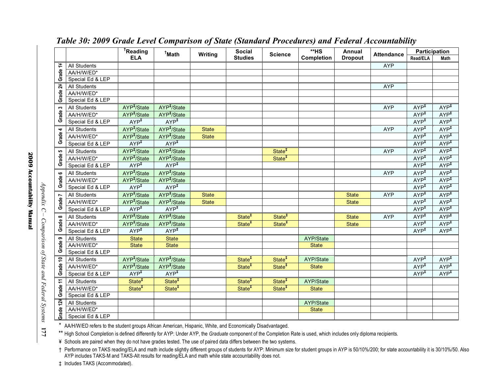|                   |                     | <sup>T</sup> Reading    | <sup>†</sup> Math       | <b>Writing</b> | <b>Social</b><br><b>Studies</b> | <b>Science</b>     | $*HS$<br>Completion | Annual<br><b>Dropout</b> | <b>Attendance</b> | Participation    |                  |
|-------------------|---------------------|-------------------------|-------------------------|----------------|---------------------------------|--------------------|---------------------|--------------------------|-------------------|------------------|------------------|
|                   |                     | <b>ELA</b>              |                         |                |                                 |                    |                     |                          |                   | Read/ELA         | <b>Math</b>      |
| Grade 1¥          | All Students        |                         |                         |                |                                 |                    |                     |                          | <b>AYP</b>        |                  |                  |
|                   | AA/H/W/ED*          |                         |                         |                |                                 |                    |                     |                          |                   |                  |                  |
|                   | Special Ed & LEP    |                         |                         |                |                                 |                    |                     |                          |                   |                  |                  |
| Grade 2¥          | All Students        |                         |                         |                |                                 |                    |                     |                          | <b>AYP</b>        |                  |                  |
|                   | AA/H/W/ED*          |                         |                         |                |                                 |                    |                     |                          |                   |                  |                  |
|                   | Special Ed & LEP    |                         |                         |                |                                 |                    |                     |                          |                   |                  |                  |
| S<br>Grade        | <b>All Students</b> | AYP <sup>#</sup> /State | AYP <sup>#</sup> /State |                |                                 |                    |                     |                          | <b>AYP</b>        | AYP <sup>‡</sup> | AYP <sup>‡</sup> |
|                   | AA/H/W/ED*          | AYP <sup>#</sup> /State | $AYP^{\dagger}$ /State  |                |                                 |                    |                     |                          |                   | AYP <sup>‡</sup> | AYP <sup>‡</sup> |
|                   | Special Ed & LEP    | AYP <sup>T</sup>        | AYP <sup>T</sup>        |                |                                 |                    |                     |                          |                   | AYP <sup>T</sup> | AYP <sup>T</sup> |
| 4<br><b>Grade</b> | <b>All Students</b> | AYP <sup>#</sup> /State | AYP <sup>#</sup> /State | <b>State</b>   |                                 |                    |                     |                          | <b>AYP</b>        | AYP <sup>T</sup> | AYP <sup>‡</sup> |
|                   | AA/H/W/ED*          | AYP <sup>#</sup> /State | AYP <sup>#</sup> /State | <b>State</b>   |                                 |                    |                     |                          |                   | AYP <sup>‡</sup> | AYP <sup>‡</sup> |
|                   | Special Ed & LEP    | AYP <sup>‡</sup>        | AYP <sup>‡</sup>        |                |                                 |                    |                     |                          |                   | AYP <sup>‡</sup> | AYP <sup>†</sup> |
| မာ                | All Students        | AYP <sup>+</sup> /State | AYP <sup>#</sup> /State |                |                                 | State <sup>#</sup> |                     |                          | <b>AYP</b>        | AYP <sup>T</sup> | AYP <sup>‡</sup> |
| Grade             | AA/H/W/ED*          | AYP <sup>#</sup> /State | AYP <sup>#</sup> /State |                |                                 | State <sup>#</sup> |                     |                          |                   | AYP <sup>‡</sup> | AYP <sup>‡</sup> |
|                   | Special Ed & LEP    | AYP <sup>‡</sup>        | AYP <sup>‡</sup>        |                |                                 |                    |                     |                          |                   | AYP <sup>†</sup> | AYP <sup>‡</sup> |
| $\bullet$         | All Students        | AYP <sup>‡</sup> /State | AYP <sup>#</sup> /State |                |                                 |                    |                     |                          | <b>AYP</b>        | AYP <sup>T</sup> | AYP <sup>‡</sup> |
| Grade             | AA/H/W/ED*          | AYP <sup>#</sup> /State | AYP <sup>#</sup> /State |                |                                 |                    |                     |                          |                   | AYP <sup>‡</sup> | AYP <sup>‡</sup> |
|                   | Special Ed & LEP    | AYP <sup>‡</sup>        | AYP <sup>‡</sup>        |                |                                 |                    |                     |                          |                   | AYP <sup>‡</sup> | AYP <sup>‡</sup> |
|                   | All Students        | AYP <sup>T</sup> /State | AYP <sup>T</sup> /State | <b>State</b>   |                                 |                    |                     | <b>State</b>             | <b>AYP</b>        | $AYP^T$          | AYP <sup>T</sup> |
| Grade 7           | AA/H/W/ED*          | AYP <sup>#</sup> /State | AYP <sup>+</sup> /State | <b>State</b>   |                                 |                    |                     | <b>State</b>             |                   | AYP <sup>‡</sup> | AYP <sup>T</sup> |
|                   | Special Ed & LEP    | AYP <sup>‡</sup>        | AYP <sup>‡</sup>        |                |                                 |                    |                     |                          |                   | AYP <sup>‡</sup> | AYP <sup>‡</sup> |
| $\infty$          | <b>All Students</b> | AYP <sup>#</sup> /State | AYP <sup>#</sup> /State |                | State <sup>†</sup>              | State <sup>#</sup> |                     | <b>State</b>             | <b>AYP</b>        | $AYP^{\ddagger}$ | $AYP+$           |
| Grade             | AA/H/W/ED*          | AYP <sup>#</sup> /State | AYP <sup>#</sup> /State |                | State <sup>#</sup>              | State <sup>#</sup> |                     | <b>State</b>             |                   | $AYP+$           | $AP^{\ddagger}$  |
|                   | Special Ed & LEP    | AYP <sup>‡</sup>        | AYP <sup>‡</sup>        |                |                                 |                    |                     |                          |                   | AYP <sup>‡</sup> | AYP <sup>T</sup> |
| ၜ                 | <b>All Students</b> | <b>State</b>            | <b>State</b>            |                |                                 |                    | AYP/State           |                          |                   |                  |                  |
| Grade             | AA/H/W/ED*          | <b>State</b>            | <b>State</b>            |                |                                 |                    | <b>State</b>        |                          |                   |                  |                  |
|                   | Special Ed & LEP    |                         |                         |                |                                 |                    |                     |                          |                   |                  |                  |
| Grade 10          | <b>All Students</b> | AYP <sup>#</sup> /State | AYP <sup>#</sup> /State |                | State <sup>‡</sup>              | State <sup>#</sup> | AYP/State           |                          |                   | AYP <sup>‡</sup> | AYP <sup>‡</sup> |
|                   | AA/H/W/ED*          | AYP <sup>#</sup> /State | AYP <sup>#</sup> /State |                | State <sup>#</sup>              | State <sup>#</sup> | <b>State</b>        |                          |                   | AYP <sup>‡</sup> | AYP <sup>‡</sup> |
|                   | Special Ed & LEP    | AYP <sup>‡</sup>        | AYP <sup>‡</sup>        |                |                                 |                    |                     |                          |                   | AYP <sup>‡</sup> | AYP <sup>‡</sup> |
| Grade 11          | All Students        | State <sup>#</sup>      | State <sup>#</sup>      |                | State <sup>#</sup>              | State <sup>#</sup> | AYP/State           |                          |                   |                  |                  |
|                   | AA/H/W/ED*          | State <sup>#</sup>      | State <sup>#</sup>      |                | State <sup>#</sup>              | State <sup>#</sup> | <b>State</b>        |                          |                   |                  |                  |
|                   | Special Ed & LEP    |                         |                         |                |                                 |                    |                     |                          |                   |                  |                  |
|                   | All Students        |                         |                         |                |                                 |                    | AYP/State           |                          |                   |                  |                  |
| Grade 12¥         | AA/H/W/ED*          |                         |                         |                |                                 |                    | <b>State</b>        |                          |                   |                  |                  |
|                   | Special Ed & LEP    |                         |                         |                |                                 |                    |                     |                          |                   |                  |                  |

### *Table 30: 2009 Grade Level Comparison of State (Standard Procedures) and Federal Accountability*

\* AA/H/W/ED refers to the student groups African American, Hispanic, White, and Economically Disadvantaged.

\*\* High School Completion is defined differently for AYP: Under AYP, the *Graduate* component of the Completion Rate is used, which includes only diploma recipients.

¥ Schools are paired when they do not have grades tested. The use of paired data differs between the two systems.

† Performance on TAKS reading/ELA and math include slightly different groups of students for AYP: Minimum size for student groups in AYP is 50/10%/200; for state accountability it is 30/10%/50. Also AYP includes TAKS-M and TAKS-Alt results for reading/ELA and math while state accountability does not.

‡ Includes TAKS (Accommodated).

*Appendix*

*C –*

*Comparison*

*of State*

*and*

*Federal*

*Systems*

**177**